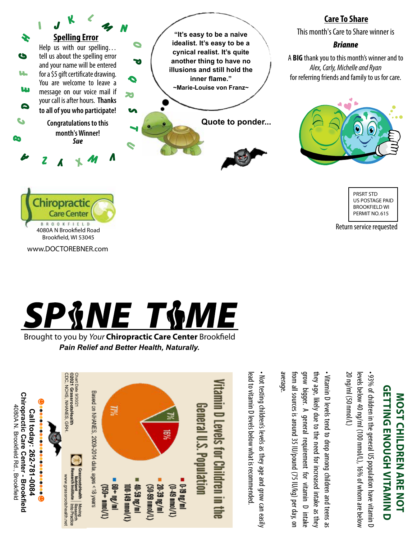

## **Care To Share**

This month's Care to Share winner is

## *Brianne*

A **BIG** thank you to this month's winner and to *Alex, Carly, Michelle and Ryan*  for referring friends and family to us for care.



PRSRT STD US POSTAGE PAID BROOKFIELD WI PERMIT NO. 615

Return service requested



4080A N Brookfield Road Brookfield, WI 53045

**hiropractic** 

r<br>Ch **Care Center** 

www.DOCTOREBNER.com

o<br>,\<br>R Post rc<br>
rc<br>
C

Brought to you by *Your* Chiropractic Care Center Brookfield *Pain Relief and Better Health, Naturally.*



**getting enough vitamin d GETTING ENOUGH VITAMIN D MOST CHILDREN ARE NOT LOT NOST CHILDREN ARE NOT** 

20 ng/ml (50 nmol/L) levels below 40 ng/ml (100 nmol/L), 16% of whom are below levels below 40 ng/ml (100 nmol/L), 16% of whom are below • 93% of children in the general US population have vitamin D 20 ng/ml (50 nmol/L) 93% of children in the general US population have vitamin D

from all sources is around 35 IU/pound (75 IU/kg) per day, on grow bigger. A general requirement for vitamin D intake grow bigger. A general requirement for vitamin D intake they age, likely due to the need for increased intake as they they age, likely due to the need for increased intake as they • Vitamin D levels tend to drop among children and teens as from all sources is around 35 IU/pound (75 IU/kg) per day, or Vitamin D levels tend to drop among children and teens as

lead to vitamin D levels below what is recommended lead to vitamin D levels below what is recommended. • Not testing children's levels as they age and grow can easily Not testing children's levels as they age and grow can easily average.